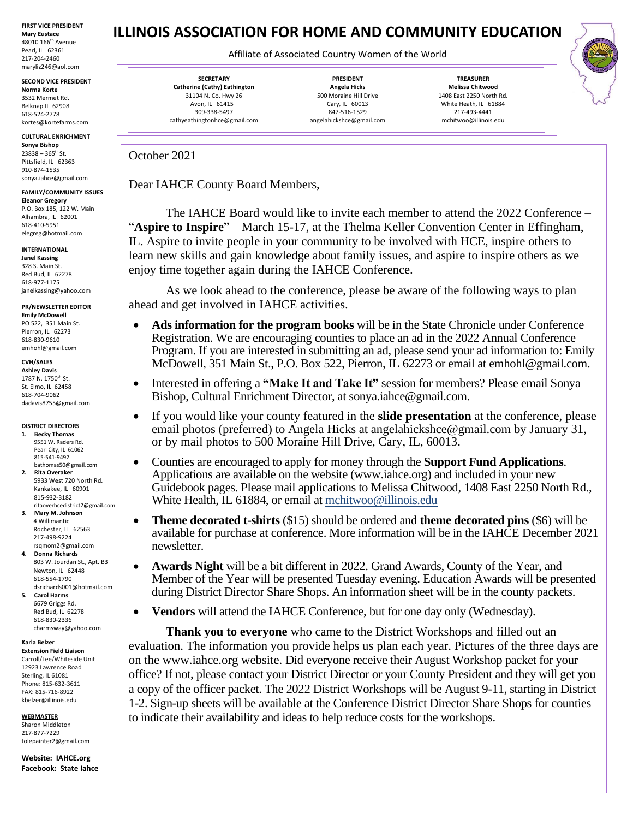**FIRST VICE PRESIDENT Mary Eustace** 48010 166th Avenue Pearl, IL 62361 217-204-2460 maryliz246@aol.com

**SECOND VICE PRESIDENT Norma Korte** 3532 Mermet Rd. Belknap IL 62908 618-524-2778

kortes@kortefarms.com **CULTURAL ENRICHMENT**

**Sonya Bishop**   $23838 - 365$ <sup>th</sup> St. Pittsfield, IL 62363 910-874-1535 sonya.iahce@gmail.com

**FAMILY/COMMUNITY ISSUES Eleanor Gregory** P.O. Box 185, 122 W. Main Alhambra, IL 62001

618-410-5951 elegreg@hotmail.com

## **INTERNATIONAL**

**Janel Kassing** 328 S. Main St. Red Bud, IL 62278 618-977-1175 [janelk](mailto:carahce1@gmail.com)assing@yahoo.com

**PR/NEWSLETTER EDITOR Emily McDowell**

PO 522, 351 Main St. Pierron, IL 62273 618-830-9610 emhohl@gmail.com

### **CVH/SALES**

**Ashley Davis** 1787 N. 1750<sup>th</sup> St. St. Elmo, IL 62458 618-704-9062 dadavis8755@gmail.com

### **DISTRICT DIRECTORS**

- **1. Becky Thomas** 9551 W. Raders Rd. Pearl City, IL 61062 815-541-9492 bathomas50@gmail.com **2. Rita Overaker**
- 5933 West 720 North Rd. Kankakee, IL 60901 815-932-3182 ritaoverhcedistrict2@gmail.com
- **3. Mary M. Johnson** 4 Willimantic Rochester, IL 62563 217-498-9224 rsqmom2@gmail.com
- **4. Donna Richards** 803 W. Jourdan St., Apt. B3 Newton, IL 62448 618-554-1790
- dsrichards001@hotmail.com **5. Carol Harms** 6679 Griggs Rd. Red Bud, IL 62278
	- 618-830-2336 charmsway@yahoo.com

## **Karla Belzer**

**Extension Field Liaison** Carroll/Lee/Whiteside Unit 12923 Lawrence Road Sterling, IL 61081 Phone: 815-632-3611 FAX: 815-716-8922

[kbelzer@illinois.edu](http://web.extension.illinois.edu/state/contactus.cfm?StaffID=2719) **WEBMASTER** Sharon Middleton

217-877-7229 [tolepainter2@gmail.com](mailto:tolepainter2@gmail.com)

**Website: IAHCE.org Facebook: State Iahce** **ILLINOIS ASSOCIATION FOR HOME AND COMMUNITY EDUCATION**

# Affiliate of Associated Country Women of the World

**SECRETARY Catherine (Cathy) Eathington** 31104 N. Co. Hwy 26 Avon, IL 61415 309-338-5497 cathyeathingtonhce@gmail.com

**PRESIDENT Angela Hicks** 500 Moraine Hill Drive Cary, IL 60013 847-516-1529 angelahickshce@gmail.com

**TREASURER Melissa Chitwood** 1408 East 2250 North Rd. White Heath, IL 61884 217-493-4441 mchitwoo@illinois.edu

October 2021

Dear IAHCE County Board Members,

The IAHCE Board would like to invite each member to attend the 2022 Conference – "**Aspire to Inspire**" – March 15-17, at the Thelma Keller Convention Center in Effingham, IL. Aspire to invite people in your community to be involved with HCE, inspire others to learn new skills and gain knowledge about family issues, and aspire to inspire others as we enjoy time together again during the IAHCE Conference.

As we look ahead to the conference, please be aware of the following ways to plan ahead and get involved in IAHCE activities.

- **Ads information for the program books** will be in the State Chronicle under Conference Registration. We are encouraging counties to place an ad in the 2022 Annual Conference Program. If you are interested in submitting an ad, please send your ad information to: Emily McDowell, 351 Main St., P.O. Box 522, Pierron, IL 62273 or email at [emhohl@gmail.com.](mailto:emhohl@gmail.com)
- Interested in offering a "Make It and Take It" session for members? Please email Sonya Bishop, Cultural Enrichment Director, at sonya.iahce@gmail.com.
- If you would like your county featured in the **slide presentation** at the conference, please email photos (preferred) to Angela Hicks at angelahickshce@gmail.com by January 31, or by mail photos to 500 Moraine Hill Drive, Cary, IL, 60013.
- Counties are encouraged to apply for money through the **Support Fund Applications**. Applications are available on the website (www.iahce.org) and included in your new Guidebook pages. Please mail applications to Melissa Chitwood, 1408 East 2250 North Rd., White Health, IL 61884, or email at mchitwoo@illinois.edu
- **Theme decorated t-shirts** (\$15) should be ordered and **theme decorated pins** (\$6) will be available for purchase at conference. More information will be in the IAHCE December 2021 newsletter.
- **Awards Night** will be a bit different in 2022. Grand Awards, County of the Year, and Member of the Year will be presented Tuesday evening. Education Awards will be presented during District Director Share Shops. An information sheet will be in the county packets.
- **Vendors** will attend the IAHCE Conference, but for one day only (Wednesday).

**Thank you to everyone** who came to the District Workshops and filled out an evaluation. The information you provide helps us plan each year. Pictures of the three days are on the www.iahce.org website. Did everyone receive their August Workshop packet for your office? If not, please contact your District Director or your County President and they will get you a copy of the officer packet. The 2022 District Workshops will be August 9-11, starting in District 1-2. Sign-up sheets will be available at the Conference District Director Share Shops for counties to indicate their availability and ideas to help reduce costs for the workshops.